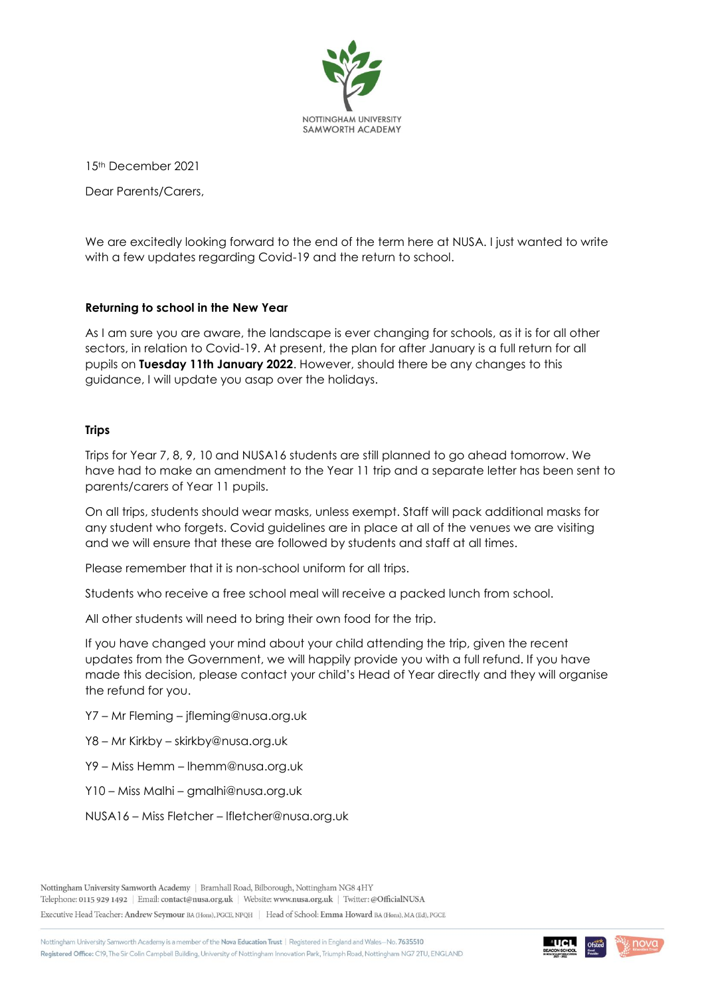

15th December 2021

Dear Parents/Carers,

We are excitedly looking forward to the end of the term here at NUSA. I just wanted to write with a few updates regarding Covid-19 and the return to school.

## **Returning to school in the New Year**

As I am sure you are aware, the landscape is ever changing for schools, as it is for all other sectors, in relation to Covid-19. At present, the plan for after January is a full return for all pupils on **Tuesday 11th January 2022**. However, should there be any changes to this guidance, I will update you asap over the holidays.

## **Trips**

Trips for Year 7, 8, 9, 10 and NUSA16 students are still planned to go ahead tomorrow. We have had to make an amendment to the Year 11 trip and a separate letter has been sent to parents/carers of Year 11 pupils.

On all trips, students should wear masks, unless exempt. Staff will pack additional masks for any student who forgets. Covid guidelines are in place at all of the venues we are visiting and we will ensure that these are followed by students and staff at all times.

Please remember that it is non-school uniform for all trips.

Students who receive a free school meal will receive a packed lunch from school.

All other students will need to bring their own food for the trip.

If you have changed your mind about your child attending the trip, given the recent updates from the Government, we will happily provide you with a full refund. If you have made this decision, please contact your child's Head of Year directly and they will organise the refund for you.

Y7 – Mr Fleming – [jfleming@nusa.org.uk](mailto:jfleming@nusa.org.uk)

Y8 – Mr Kirkby – [skirkby@nusa.org.uk](mailto:skirkby@nusa.org.uk)

Y9 – Miss Hemm – [lhemm@nusa.org.uk](mailto:lhemm@nusa.org.uk)

Y10 – Miss Malhi – [gmalhi@nusa.org.uk](mailto:gmalhi@nusa.org.uk)

NUSA16 – Miss Fletcher – [lfletcher@nusa.org.uk](mailto:lfletcher@nusa.org.uk)

Telephone: 0115 929 1492 | Email: contact@nusa.org.uk | Website: www.nusa.org.uk | Twitter: @OfficialNUSA

Executive Head Teacher: Andrew Seymour BA (Hons), PGCE, NPQH | Head of School: Emma Howard BA (Hons), MA (Ed), PGCE